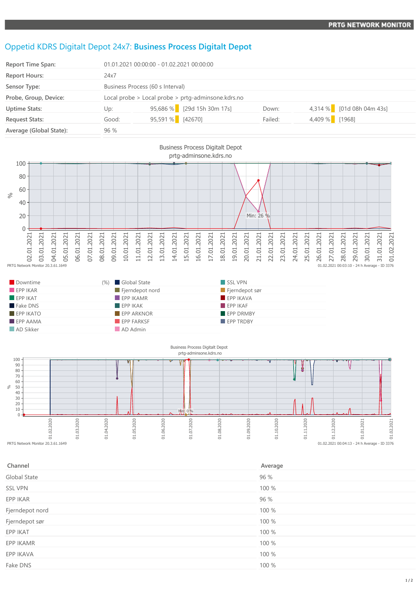## Oppetid KDRS Digitalt Depot 24x7: **Business Process Digitalt Depot**

| <b>Report Time Span:</b> | 01.01.2021 00:00:00 - 01.02.2021 00:00:00          |                  |                            |         |                |                           |  |
|--------------------------|----------------------------------------------------|------------------|----------------------------|---------|----------------|---------------------------|--|
| <b>Report Hours:</b>     | 24x7                                               |                  |                            |         |                |                           |  |
| Sensor Type:             | Business Process (60 s Interval)                   |                  |                            |         |                |                           |  |
| Probe, Group, Device:    | Local probe > Local probe > prtg-adminsone.kdrs.no |                  |                            |         |                |                           |  |
| <b>Uptime Stats:</b>     | Up:                                                |                  | 95,686 % [29d 15h 30m 17s] | Down:   |                | 4,314 % [01d 08h 04m 43s] |  |
| <b>Request Stats:</b>    | Good:                                              | 95,591 % [42670] |                            | Failed: | 4,409 % [1968] |                           |  |
| Average (Global State):  | 96 %                                               |                  |                            |         |                |                           |  |



| Downtime                | (%) Global State  | SSL VPN          |
|-------------------------|-------------------|------------------|
| EPPIKAR                 | Fjerndepot nord   | Fjerndepot sør   |
| $\blacksquare$ EPP IKAT | $EPP$ IKAMR       | EPP IKAVA        |
| Fake DNS                | EPPIKAK           | FPPIKAF          |
| $EPP$ IKATO             | <b>EPP ARKNOR</b> | <b>EPP DRMBY</b> |
| $\blacksquare$ EPP AAMA | EPP FARKSF        | <b>EPP TRDBY</b> |
| AD Sikker               | AD Admin          |                  |



| Channel         | Average |
|-----------------|---------|
| Global State    | 96 %    |
| <b>SSL VPN</b>  | 100 %   |
| EPP IKAR        | 96 %    |
| Fjerndepot nord | 100 %   |
| Fjerndepot sør  | 100 %   |
| EPP IKAT        | 100 %   |
| EPP IKAMR       | 100 %   |
| EPP IKAVA       | 100 %   |
| Fake DNS        | 100 %   |
|                 |         |